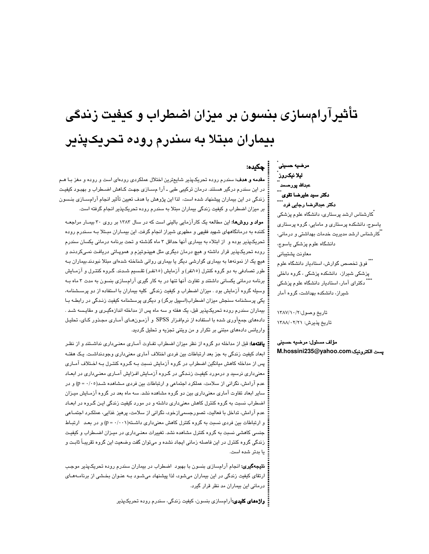# تأثیرآرامسازی بنسون بر میزان اضطراب و کیفیت زندگی بیماران مبتلا به سندرم روده تحریکیذیر

# مرضيه حسينى ليلا نيكروز عبدالله پورصىد دكتر سيد عليرضا تقو*ى* دکتر عبدالرضا رجایی فرد

: ڇکيده:

َکارشناس ارشد پرستاری، دانشگاه علوم پزشکی یاسوج، دانشکده پرستاری و مامایی، گروه پرستاری <sup>"</sup>کارشناس ارشد مدیریت خدمات بهداشتی و درمانی*،* دانشگاه علوم پزشکی یاسوج، معاونت پشتيباني ``` فوق تخصص گوارش، استادیار دانشگاه علوم پزشکی شیراز، دانشکده پزشکی ، گروه داخلی ً دکترای آمار، استادیار دانشگاه علوم پزشکی شیراز، دانشکده بهداشت، گروه آمار

تاريخ وصول:١٣٨٧/١٠/٢ تاريخ پذيرش: ١٣٨٨/٠٢/١٢

مؤلف مسئول: مرضيه حسيني يست الكترونيك:M.hossini235@yahoo.com

**مقدمه و هدف:** سندرم روده تحریکپذیر شایعترین اختلال عملکردی رودهای است و روده و مغز بـا هـم در این سندرم درگیر هستند. درمان ترکیبی طبی ـ آرا مســازی جهـت کــاهش اضــطراب و بـهبـود کیفیـت زندگی در این بیماران پیشنهاد شده است، لذا این پژوهش با هدف تعیین تأثیر انجام آرامسـازی بنـسون بر میزان اضطراب و کیفیت زندگی بیماران مبتلا به سندرم روده تحریکپذیر انجام گرفته است.

مواد و روشها: این مطالعه یک کارآزمایی بالینی است که در سال ۱۳۸۳ بر روی ۳۰ بیمـار مراجعـه کننده به درمانگاههای شهید فقیهی و مطهری شیراز انجام گرفت. این بیمـاران مبـتلا بـه سـندرم روده تحریکپذیر بوده و از ابتلاء به بیماری آنها حداقل ۳ ماه گذشته و تحت برنامه درمانی یکسان سندرم روده تحريکپذير قرار داشته و هيچ درمان ديگري مثل هيپذوتيزم و هموپـاتي دريافت نمـيکردنـد و هیچ یک از نمونهها به بیماری گوارشی دیگر یا بیماری روانی شناخته شدهای مبتلا نبودند.بیماران بـه طور تصادفی به دو گروه کنترل (۱۵نفر) و آزمایش (۱۵نفـر) تقـسیم شـدند. گـروه کنتـرل و آزمــایش برنامه درمانی یکسانی داشتند و تفاوت آنها تنها در به کار گیری آرامسازی بنسون به مدت ۳ ماه بـه وسیله گروه آزمایش بود . میزان اضطراب و کیفیت زندگی کلیه بیماران با استفاده از دو پرسـشنامه، یکی پرسشنامه سنجش میزان اضطراب(اسپیل برگر) و دیگری پرسشنامه کیفیت زنـدگی در رابطـه بـا بیماران سندرم روده تحریکپذیر قبل، یک هفته و سه ماه پس از مداخله اندازهگیـری و مقایـسه شـد . دادههای جمعآوری شده با استفاده از نرمافزار SPSS و آزمون های آمـاری مجـذور کـای، تحلیـل واریانس دادههای مبتنی بر تکرار و من ویتنی تجزیه و تحلیل گردید.

**یافتهها:** قبل از مداخله دو گروه از نظر میزان اضطراب تفـاوت آمـاری معنـی،داری نداشـتند و از نظـر ابعاد کیفیت زندگی به جز بعد ارتباطات بین فردی اختلاف آماری معنیداری وجودنداشت. یک هفتـه پس از مداخله کاهش میانگین اضطراب در گروه آزمایش نسبت بـه گـروه کنتـرل بـه اخـتلاف آمـاری معنیداری نرسید و درمورد کیفیت زنـدگی در گـروه آزمـایش افـزایش آمـاری معنـیداری در ابعـاد عدم آرامش، نگرانی از سلامت، عملکرد اجتماعی و ارتباطات بین فردی مشاهده شـد(۰۰-۱- p) و در سایر ابعاد تفاوت آماری معنیداری بین دو گروه مشاهده نشد. سه ماه بعد در گروه آزمـایش میـزان اضطراب نسبت به گروه کنترل کاهش معنیداری داشته و در مورد کیفیت زندگی ایـن گـروه در ابعـاد عدم آرامش، تداخل با فعالیت، تصورجسمیازخود، نگرانی از سلامت، پرهیز غذایی، عملکرد اجتمـاعی و ارتباطات بین فردی نسبت به گروه کنترل کاهش معنیداری داشته(۰/۰۰۱) = p) و در بعد ارتباط جنسی کاهشی نسبت به گروه کنترل مشاهده نشد. تغییرات معنـیداری در میـزان اضـطراب و کیفیـت زندگی گروه کنترل در این فاصله زمانی ایجاد نشده و میتوان گفت وضعیت این گروه تقریبـاً ثابـت و يا بدتر شده است.

**نتیجهگیری:** انجام آرامسازی بنسون با بهبود اضطراب در بیماران سندرم روده تحریکپذیر موجب ارتقای کیفیت زندگی در این بیماران میشود، لذا پیشنهاد میشـود بـه عنـوان بخـشی از برنامــهمـای درمانی این بیماران مد نظر قرار گیرد.

:<br>**: واژههای کلیدی:**آرامسازی بنسون، کیفیت زندگی، سندرم روده تحریکپذیر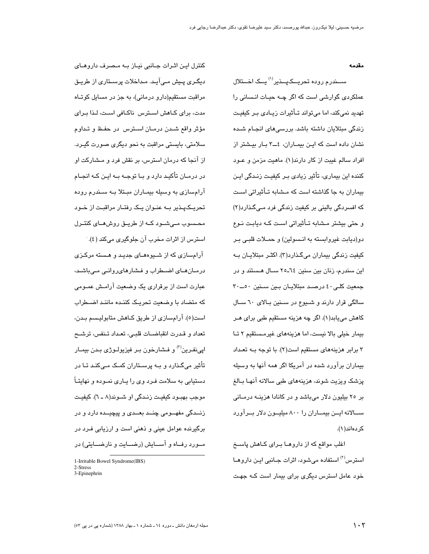مقدمه

سیندرم روده تجریبکهپیذیر<sup>(۱)</sup> بیک اختلال عملکردی گوارشی است که اگر چـه حیـات انـسانی را تهدید نمیکند، اما می تواند تــأثیرات زیــادی بـر کیفیـت زندگی مبتلایان داشته باشد. بررسی۵ای انجـام شـده نشان داده است که ایـن بیمـاران، ٤ــ٣ بـار بیـشتر از افراد سالم غيبت از كار دارند(١). ماهيت مزمن و عــود کنندہ این بیماری، تأثیر زیادی بـر کیفیـت زنـدگی ایـن بیماران به جا گذاشته است که مـشابه تـأثبراتی اسـت که افسردگی بالینی بر کیفیت زندگی فرد مـیگـذارد(۲) و حتی بیشتر مشابه تـأثیراتی اسـت کـه دیابـت نـوع دو(دیابت غیروابسته به انسولین) و حملات قلبی بر کیفیت زندگی بیماران میگذارد(۳). اکثـر مبتلایـان بـه این سندرم، زنان بین سنین ٢٤-٢٥ ســال هـستند و در جمعیت کلی ٤٠ درصد مبتلايان بين سنين ٥٠ ـــ ٣٠ سالگی قرار دارند و شیوع در سنین بالای ٦٠ سال کاهش میپابد(۱). اگر چه هزینه مستقیم طبی برای هـر بیمار خیلی بالا نیست، اما هزینههای غیرمستقیم ٢ تا ۳ برابر هزینههای مستقیم است(۲). با توجه بـه تعـداد بیماران برآورد شده در آمریکا اگر همه آنها به وسیله پزشک ویزیت شوند، هزینههای طبی سالانه آنهـا بــالـغ بر ٢٥ بيليون دلار مي باشد و در كانادا هزينــه درمــاني ســالانه ايــن بيمــاران را ٨٠٠ ميليــون دلار بــرآورد کر دهاند(۱).

اغلب مواقع که از داروهــا بـرای کــاهش پاســخ استرس<sup>(۲)</sup> استفاده می شود، اثرات جــانبی ایــن داروهــا خود عامل استرس دیگری برای بیمار است کـه جهـت

کنترل ایـن اثـرات جـانبی نیـاز بـه مـصرف داروهـای دیگری پیش مے آید. مداخلات پرستاری از طریق مراقبت مستقیم(دارو درمانی)، به جز در مسایل کوتـاه مدت، برای کـاهش اسـترس ناکـافی اسـت، لـذا بـرای مؤثر واقع شدن درمـان اسـترس در حفـظ و تـداوم سلامتی، بایستی مراقبت به نحو دیگری صورت گیـرد. از آنجا که درمان استرس، بر نقش فرد و مـشارکت او در درمــان تأکیــد دارد و بــا توجــه بــه ایــن کــه انجــام آرامسازی به وسیله بیمـاران مبـتلا بـه سـندرم روده تحریـکپـذیر بــه عنـوان یـک رفتـار مراقبـت از خـود محـسوب مـیشـود کــه از طریــق روشهــای کنتــرل استرس از اثرات مخرب آن جلوگیری میکند (٤).

آرامسازی که از شیوههیای حدید و هسته مرکزی درمـانهـای اضـطراب و فـشارهایروانـی مـیباشـد، عبارت است از برقراری یک وضعیت آرامـش عمـومی که متضاد با وضعیت تحریک کننـده ماننـد اضـطراب است(٥). آرامسازی از طریق کـاهش متابولیـسم بـدن، تعداد و قـدرت انقباضـات قلبـي، تعـداد تـنفس، ترشــح ايے،نفـرين<sup>(۳)</sup> و فـشارخون بـر فيزيولـوژ*ی* بـدن بيمـار تأثیر میگذارد و بــه پرسـتاران کمـک مـیکنـد تـا در دستیابی به سلامت فـرد وی را پــاری نمــوده و نهایتــاً موجب بھبود کیفیت زندگی او شـوند(۸ ـ ٦). کیفیت زنــدگی مفهــومی چنــد بعــدی و پیچیــده دارد و در برگیرنده عوامل عینی و ذهنی است و ارزیابی فـرد در مــورد رفــاه و آســایش (رضـــایت و نارضـــایتی) در

<sup>1-</sup>Irritable Bowel Syndrome(IBS)

<sup>2-</sup>Stress 3-Epinephrin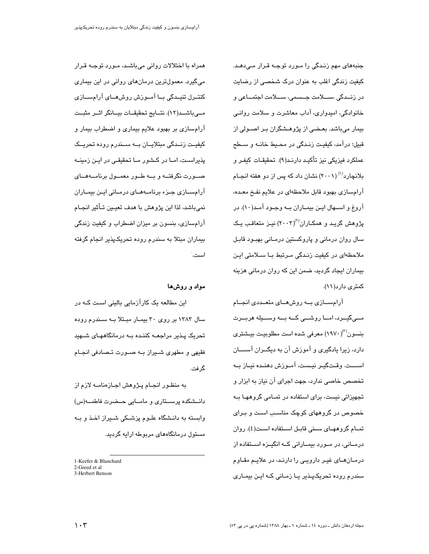جنبههای مهم زنـدگی را مـورد توجـه قـرار مـیدهـد. کیفیت زندگی اغلب به عنوان درک شخصی از رضایت در زنــدگی ،ســـلامت جــسمی، ســـلامت اجتمـــاعی و خانوادگی، امیدواری، آداب معاشرت و سلامت روانـی بیمار میباشد. بعـضی از پژوهـشگران بـر اصـولی از قبيل؛ درآمد، کيفيـت زنـدگي در محـيط خانــه و ســطح عملكرد فيزيكي نيز تأكيـد دارنـد(٩). تحقيقـات كيفـر و بلانچارد<sup>(۱)</sup> (۲۰۰۱) نشان داد که پس از دو هفته انجـام آرامسازی بهبود قابل ملاحظهای در علایم نفخ معده، آروغ و اســهال ايــن بيمــاران بــه وجــود آمــد(١٠). در پژوهش گرید و همکـاران<sup>(۲)</sup>(۲۰۰۳) نیـز متعاقـب یـک سال روان درمانی و پاروکستین درمـانی بهبـود قابـل ملاحظهای در کیفیت زنیدگی میرتبط بیا سیلامتی این بیماران ایجاد گردید، ضمن این که روان درمانی هزینه کمتری دار د(١١).

آرامســازی بــه روشهــای متعــددی انجــام مــیگیـــرد، امـــا روشـــی کـــه بـــه وســـیله هربـــرت بنسون<sup>(۳)</sup>(۱۹۷۰) معرفی شده است مطلوبیت بیشتری دارد، زیرا یادگیری و آموزش آن به دیگـــران آســـــان اســـت. وقـتگيـر نيـست، آمـوزش دهنـده نيـاز بـه تخصص خاصی ندارد، جهت اجرای آن نیاز به ابزار و تجهیزاتی نیست، برای استفاده در تمـامی گروههـا بـه خصوص در گروههای کوچک مناسب است و بـرای تمــام گروههــای ســنی قابــل اســتفاده اســت(٤). روان درمــانی، در مــورد بیمــارانی کــه انگیــزه اســتفاده از درمـانهـای غیـر دارویـی را دارنـد، در علایـم مقـاوم سندرم رودہ تحریکپذیر یا زمـانی کـه ایـن بیمـاری

همراه با اختلالات روانی میباشد، مىورد توجـه قـرار می گیرد. معمولترین درمانهای روانی در این بیماری کنتــرل تنيــدگي بــا آمــوزش روشهــاي آرامســازي مےباشـد(١٢). نتــايج تحقيقــات بيــانگر اثــر مثبــت آرامسازی بر بهبود علایم بیماری و اضطراب بیمار و کیفیـت زنــدگی مبتلایــان بــه ســندرم روده تحریــک پذیراست، امـا در کـشور مـا تحقیقـی در ایـن زمینــه صــورت نگرفتــه و بــه طــور معمــول برنامــهمــاي آرامســازی جـزء برنامــههــای درمــانی ایــن بیمــاران نمیباشد، لذا این پژوهش با هدف تعیـین تــأثیر انجــام آرامسازی، بنسون بر میزان اضطراب و کیفیت زندگی بیماران مبتلا به سندرم روده تحریکپذیر انجام گرفته است.

# مواد و روشها

این مطالعه یک کارآزمایی بالینی است کـه در سال ۱۳۸۳ بر روی ۳۰ بیمار مبتلا به سندرم روده تحریک پـذیر مراجعــه کننـده بــه درمانگاههـای شــهید فقیهی و مطهری شـیراز بـه صـورت تـصادفی انجـام گرفت.

به منظـور انجـام پـژوهش اجـازهنامــه لازم از دانــشکده پرســتاری و مامــایی حــضرت فاطمـــه(س) وابسته به دانـشگاه علــوم پزشــکی شــیراز اخــذ و بــه مسئول درمانگاههای مربوطه ارایه گردید.

<sup>1-</sup>Keefer & Blanchard 2-Greed et al

<sup>3-</sup>Herbert Benson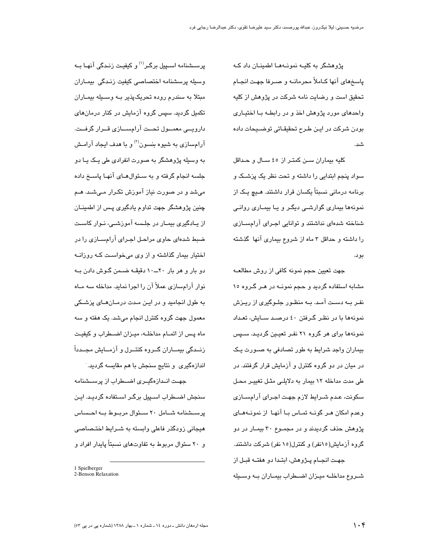پژوهشگر به کلیـه نمونـههـا اطمینـان داد کـه پاسخهای آنها کـاملاً محرمانــه و صـرفا جهـت انجـام تحقیق است و رضایت نامه شرکت در پژوهش از کلیه واحدهای مورد پژوهش اخذ و در رابطـه بــا اختیــاری بودن شرکت در ایـن طـرح تحقیقـاتی توضــیحات داده شد.

كليه بيماران سن كمتر از ٤٥ سال وحداقل سواد پنجم ابتدایی را داشته و تحت نظر یک پزشک و برنامه درمانی نسبتاً یکسان قرار داشتند. هـیچ یـک از نمونهها بیماری گوارشی دیگر و یا بیمـاری روانـی شناخته شدهای نداشتند و توانایی اجرای آرامسازی را داشته و حداقل ۳ ماه از شروع بیماری آنها گذشته بو د.

جهت تعيين حجم نمونه كافي از روش مطالعــه مشابه استفاده گردید و حجم نمونــه در هـر گـروه ۱۰ نفـر بــه دسـت آمـد. بــه منظـور جلــوگیری از ریــزش نمونهها با در نظـر گـرفتن ٤٠ درصـد سـایش، تعـداد نمونهها برای هر گروه ۲۱ نفـر تعیـین گردیـد. سـپس بیماران واجد شرایط به طور تصادفی به صـورت یـک در میان در دو گروه کنترل و آزمایش قرار گرفتند. در طی مدت مداخله ١٢ بیمار به دلایلی مثل تغییر محل سکونت، عـدم شــرايط لازم جهـت اجـراي آرامســازي وعدم امکان هـر گونــه تمــاس بــا آنهـا از نمونــههـای پژوهش حذف گردیدند و در مجمـوع ۳۰ بیمـار در دو گروه آزمایش(۱۵نفر) و کنترل(۱۵نفر) شرکت داشتند. جهت انجام پـژوهش، ابتـدا دو هفتـه قبـل از شـروع مداخلـه ميـزان اضـطراب بيمـاران بـه وسـيله

پرســشنامه اســڀيل برگــر<sup>(۱)</sup> و کيفيـت زنـدگي آنهــا بــه وسيله يرسشنامه اختصاصى كيفيت زندگى بيمـاران مبتلا به سندرم روده تحریک پذیر بـه وسـیله بیمـاران تکمیل گردید. سپس گروه آزمایش در کنار درمانهای دارویے، معمــول تحــت آرامســازی قــرار گرفــت. آرامسازی به شیوه بنسون<sup>(۲)</sup> و با هدف ایجاد آرامـش به وسیله پژوهشگر به صورت انفرادی طی یـک یـا دو جلسه انجام گرفته و به سـئوالهــای آنهـا پاســخ داده میشد و در صورت نیاز آموزش تکرار مـیشـد. هـم چنین پژوهشگر جهت تداوم یادگیری پـس از اطمینــان از پــادگیری بیمــار در جلــسه آموزشــی، نــوار کاســت ضبط شدهای حاوی مراحل اجـرای آرامسـازی را در اختیار بیمار گذاشته و از وی می خواست کبه روزانیه دو بار و هر بار ۲۰ــ۱۰ دقیقـه ضـمن گـوش دادن بـه نوار آرامسازی عملاً آن را اجرا نماید. مداخله سه مـاه به طول انجامید و در ایـن مـدت درمـان۱ـای پزشـکی معمول جهت گروه کنترل انجام میشد. یک هفته و سه ماه پس از اتمـام مداخلـه، میـزان اضـطراب و کیفیـت زنــدگی بیمــاران گــروه کنتــرل و آزمــایش مجــدداً اندازهگیری و نتایج سنجش با هم مقایسه گردید.

جهـت انـدازهگیـری اضـطراب از پرســشنامه سنجش اضــطراب اســپیل برگـر اسـتفاده گردیـد. ایـن پرستشنامه شـامل ٢٠ سـئوال مربـوط بـه احـساس هیجانی زودگذر فاعلی وابسته به شـرایط اختـصـاصـی و ۲۰ سئوال مربوط به تفاوتهای نسبتاً پایدار افراد و

<sup>1</sup> Spielberger 2-Benson Relaxation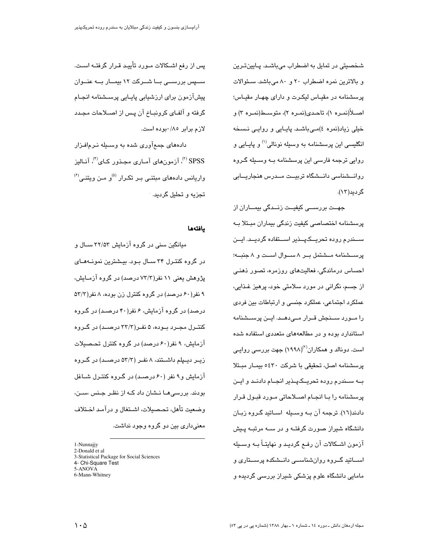شخصیتی در تمایل به اضطراب میباشـد. پـایینتـرین و بالاترین نمره اضطراب ٢٠ و ٨٠ می باشد. سئوالات پرسشنامه در مقيـاس ليكـرت و داراى چهـار مقيـاس؛ اصــلأ(نمـره ۱)، تاحـدي(نمـره ۲)، متوســط(نمـره ۳) و خیلی زیاد(نمره ٤)مـیباشـد. پایـایی و روایـی نـسـخه انگلیسی این پرسشنامه به وسیله نونالی<sup>(۱)</sup> و پایـایی و روایی ترجمه فارسی این پرسشنامه بــه وســیله گـروه روانـــشناسی دانــشگاه تربیــت مــدرس هنجاریـــابی گردىد(۱۲).

جھــت بررســـی کیفیــت زنــدگی بیمـــاران از پرسشنامه اختصاصی کیفیت زندگی بیماران مبـتلا بـه ســـندر م روده تحریـــکـپـــذیر اســـتفاده گردیـــد. ایـــن ير سيشنامه ميشتمل بير ٨ سيوال است و ٨ جنسه؛ احساس درماندگی، فعالیتهای روزمره، تصور ذهنـی از جسم، نگرانی در مورد سلامتی خود، پرهیز غـذایی، عملکرد اجتماعی، عملکرد جنسی و ارتباطات بین فردی را مــورد ســنجش قــرار مــیدهــد. ایــن پرســشنامه استاندارد بوده و در مطالعههای متعددی استفاده شده است. دونالد و همکاران<sup>(۲)</sup>(۱۹۹۸) جهت بررس*ی* روایـی پرسشنامه اصل، تحقیقی با شرکت ۶۲۰ه بیمـار مبـتلا بــه ســندرم روده تحریــکـپــذیر انجــام دادنــد و ایــن پرسشنامه را بـا انجـام اصـلاحاتی مـورد قبـول قـرار دادند(١٦). ترجمه آن بــه وســيله اســاتيد گـروه زبــان دانشگاه شیراز صورت گرفتـه و در سـه مرتبـه پـیش آزمون اشـكالات آن رفـع گرديـد و نهايتــاً بــه وســيله اســاتید گــروه روانشناســی دانــشکده پرســتاری و مامایی دانشگاه علوم پزشکی شیراز بررسی گردیده و

یس از رفع اشــکالات مــورد تأییــد قـرار گرفتــه اســت. سپس بررستی بــا شــرکت ۱۲ بیمــار بــه عنــوان پیشآزمون برای ارزشیابی پایـایی پرســشنامه انجـام گرفته و آلفـای کرونبـاخ آن پـس از اصــلاحات مجـدد لازم برابر ٨٥/٠بوده است.

دادههای جمعآوری شده به وسـیله نـرمافـزار SPSS <sup>(۳)</sup> آزمونهای آمـاری مجـذور کـای<sup>(۴)</sup>، آنـالیز  $^{(8)}$ واریانس دادههای مبتنی بر تکرار <sup>(۵)</sup>و من ویتنے تجزیه و تحلیل گردید. ۱

#### بافتهها

میانگین سنی در گروه آزمایش ۳۲/۵۳ ســال و در گروه کنترل ۳۴ سال بود. بیشترین نمونههای پژوهش یعنی ۱۱ نفر(۷۳/۳ درصد) در گروه آزمـایش، ۹ نفر(۶۰ درصد) در گروه کنترل زن بوده، ۸ نفر(۵۳/۳ درصد) در گروه آزمایش، ۶ نفر(۴۰ درصـد) در گـروه کنتــرل مجــرد بــوده، ۵ نفــر(۳۲/۳ درصــد) در گــروه آزمایش، ۹ نفر(۶۰ درصد) در گروه کنترل تحصیلات زیــر دیــپلم داشــتند، ۸ نفــر (۵۳/۳ درصــد) در گــروه آزمایش و ۹ نفر (۶۰ درصـد) در گـروه کنتـرل شــاغل بودند. بررسی هـا نــشان داد کــه از نظـر جـنس ،ســن، وضعيت تأهل، تحصيلات، اشـتغال و درآمـد اخـتلاف معنیداری بین دو گروه وجود نداشت.

1-Nunnajjy 2-Donald et al 3-Statistical Package for Social Sciences 4- Chi-Square Test 5-ANOVA 6-Mann-Whitney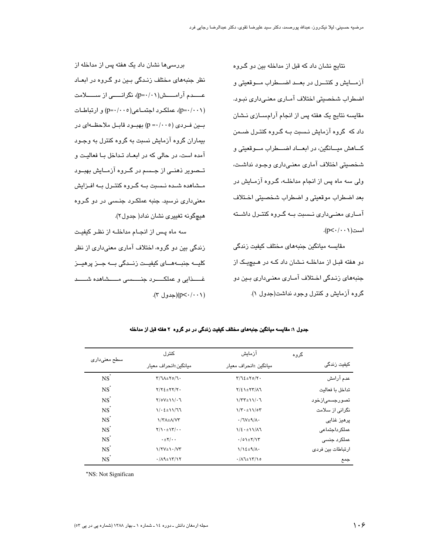نتایج نشان داد که قبل از مداخله بین دو گروه آزمــايش و كنتــرل در بعــد اضـــطراب مــوقعيتي و اضطراب شخصيتي اختلاف آمـاري معنـي،داري نبـود. مقایسه نتایج یک هفته پس از انجام آرامسـازی نـشان داد که گروه آزمایش نـسبت بــه گــروه کنتــرل ضــمن كـاهش ميــانگين، در ابعــاد اضـــطراب مــوقعيتي و شخصیتی اختلاف آماری معنےداری وجود نداشت، ولی سه ماه پس از انجام مداخلــه، گـروه آزمــایش در بعد اضطراب موقعيتي و اضطراب شخصيتي اختلاف آمـاری معنـیداری نـسبت بـه گـروه کنتـرل داشـته است( p< · / · · / ).

مقايسه ميانگين جنبههای مختلف کيفيت زندگی دو هفته قبـل از مداخلــه نــشان داد کــه در هــيچيـک از جنبههای زندگی اختلاف آمـاری معنـی،داری بـین دو گروه آزمایش و کنترل وجود نداشت(جدول ۱).

بررسیها نشان داد یک هفته پس از مداخله از نظر جنبههای مختلف زندگی بین دو گروه در ابعـاد عــــدم آرامــــش(١٠١/٠١p)، نگرانـــــى از ســـــلامت (p=·/··۱)، عملكرد اجتمـاعي(p=·/··۰) و ارتباطـات بين فـردي (p =٠/٠٠٥) بهبـود قابـل ملاحظــهاي در بیماران گروه آزمایش نسبت به گروه کنترل به وجـود آمده است، در حالی که در ابعـاد تـداخل بـا فعالیـت و تــصویر ذهنــی از جــسم در گــروه آزمــایش بهبــود مـشاهده شـده نـسبت بــه گـروه کنتـرل بــه افـزایش معنی،داری نرسید. جنبه عملکـرد جنـسی در دو گـروه هيچگونه تغييري نشان نداد( جدول۲).

سه ماه پس از انجـام مداخلــه از نظـر کیفیـت زندگی بین دو گروہ، اختلاف آماری معنیداری از نظر کلیــه جنبــهمــای کیفیــت زنــدگی بــه جــز پرهیــز (۲۰۰۱/۰۰)(جدول ۳).

| سطح معنیداری      | کنتر ل                                             | آزماىش                            | گروه               |
|-------------------|----------------------------------------------------|-----------------------------------|--------------------|
|                   | مبانگين±انجراف معبار                               | مبانگين ±انحراف معبار             | کىفىت زندگى        |
| $NS^*$            | $Y/\lambda + Y_0/\lambda$                          | $Y/\Im\Sigma_{\pm}Y \circ / Y$ .  | عدم آرامش          |
| $NS^*$            | $Y/Y\S$ $\pm$ $YY/Y$ .                             | $Y/\xi$ \ $\pm YY/\lambda$ ]      | تداخل ىا فعالىت    |
| $NS^*$            | $Y/OV \pm 11/\cdot 7$                              | $1/TT \pm 11/\cdot 7$             | -تصور حسمے از خواد |
| $NS^*$            | $1/2$ $2 + 11/77$                                  | $1/\tau \cdot \pm 11/\sigma \tau$ | نگرانی از سلامت    |
| $NS^*$            | 1/ Y A ± A/ V Y                                    | $\cdot$ /\V±9/A·                  | یرھیز غذایے،       |
| $NS^*$            | $Y/\left\{ \frac{1}{2} \cdot \frac{1}{2} \right\}$ | $1/\xi \cdot \pm 11/\Lambda$      | عملکر داجتماعی     |
| $NS^*$            | $\cdot \pm \mathbf{Y}/\cdot \cdot$                 | $\cdot$ /01± $\gamma$ /13         | عملکرد جنسی        |
| $NS^*$            | $1/\Upsilon V \pm 1.7$                             | $1/\sqrt{2\pm 9/\Lambda}$         | ارتباطات بین فردی  |
| $NS$ <sup>*</sup> | $\cdot$ / $\Lambda$ ۹ $\pm$ ۱۳/۱۲                  | $\cdot/\lambda$ 1±1٣/10           | جمع                |

#### جدول ۱: مقایسه میانگین جنبههای مختلف کیفیت زندگی در دو گروه ۲ هفته قبل از مداخله

\*NS: Not Significan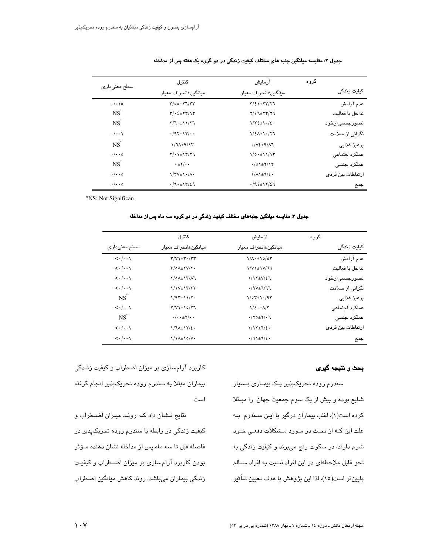|                                      | كنترل                                                    | آزمايش                           | گروه |                   |
|--------------------------------------|----------------------------------------------------------|----------------------------------|------|-------------------|
| سطح معنی داری                        | مبانگین±انجراف معبار                                     | <i>منانگین±</i> انحراف معبار     |      | کیفیت زندگی       |
| $\cdot/\cdot\cdot$ 0                 | $Y/00 \pm Y7/77$                                         | $Y/\xi$ \ $\pm$ $Y$ $Y/\gamma$ ] |      | عدم آرامش         |
| $NS$ <sup><math>\dot{S}</math></sup> | $Y/\cdot \xi \pm YY/\gamma Y$                            | $Y/\xi$ $T+YY/Y$                 |      | تداخل ىا فعالىت   |
| $NS$ <sup>*</sup>                    | $Y/T+11/YT$                                              | $1/\Upsilon \xi \pm 1.1/\xi$ .   |      | تصورجسمی ازخود    |
| $\cdot/\cdot\cdot$                   | $\cdot$ /97 $\pm$ 17/ $\cdot$                            | $\frac{1}{2}$                    |      | نگرانی از سلامت   |
| $NS$ <sup>*</sup>                    | $1/7$ $A \pm 9/17$                                       | $\cdot$ / $V$ ٤ $\pm$ ٩/٨٦       |      | پرھيز غذايے       |
| $\cdot/\cdot\cdot$ 0                 | $Y/\cdot 1$ + $Y/Y$                                      | 1/0.111/17                       |      | عملکر داجتماعی    |
| $NS$ <sup>*</sup>                    | $\cdot \pm \mathsf{Y}/\cdot \cdot$                       | $\cdot$ /01± $\uparrow$ /1۳      |      | عملکرد جنسی       |
| $\cdot/\cdot\cdot$ 0                 | $\frac{1}{\Upsilon}\frac{1}{\Upsilon}\frac{1}{\Upsilon}$ | $1/\Lambda$ $\pm$ $1/\epsilon$ . |      | ارتباطات بین فردی |
| $\cdot/\cdot\cdot$ 0                 | .4.17/29                                                 | $.792 \pm 17/27$                 |      | جمع               |

#### جدول ۲: مقایسه میانگین جنبه های مختلف کیفیت زندگی در دو گروه یک هفته پس از مداخله

\*NS: Not Significan

#### جدول ۳: مقایسه میانگین جنبههای مختلف کیفیت زندگی در دو گروه سه ماه پس از مداخله

|                                       | كنترل                                                   | ازماىش                             | گروه              |
|---------------------------------------|---------------------------------------------------------|------------------------------------|-------------------|
| سطح معنیداری                          | مبانگین±انجراف معبار                                    | مبانگین±انجراف معبار               | کیفیت زندگی       |
| $\langle \cdot   \cdot \cdot \rangle$ | $\Upsilon/V$ + $\Upsilon$ $\Upsilon$ $\Upsilon$         | $1/\Lambda \cdot \pm 10/\Omega$    | عدم آرامش         |
| $\langle \cdot   \cdot \cdot \rangle$ | $\Upsilon/\circ \Lambda \pm \Upsilon \vee / \Upsilon$ . | $\frac{1}{\sqrt{1}}$               | تداخل ىا فعالىت   |
| $\langle \cdot   \cdot \cdot \rangle$ | $Y/OA\pm YY/AY$                                         | $1/17\pm V/\xi$                    | تصورجسمیازخود     |
| $\langle \cdot   \cdot \cdot \rangle$ | <b>1/1V±1٣/٣٣</b>                                       | $\cdot$ /9 $V\pm$ 7/77             | نگرانی از سلامت   |
| $NS^{\dagger}$                        | $1/97\pm11/7$                                           | $1/07 \pm 1.797$                   | پرھيز غذايى       |
| $\langle \cdot   \cdot \cdot \rangle$ | $Y/V$ $\pm$ 10/77                                       | $1/\xi \cdot \pm \Lambda/\Upsilon$ | عملکر د احتماعی   |
| NS                                    | $\cdot/\cdot\cdot\pm\tau/\cdot\cdot$                    | $\cdot$ /۲۰ $\pm$ ۲/۰٦             | عملکرد جنسی       |
| $\langle \cdot   \cdot \cdot \rangle$ | $1/7$ $A \pm 17/2$ .                                    | $1/17\pm1/\epsilon$ .              | ارتباطات بین فردی |
| $\langle \cdot   \cdot \cdot \rangle$ | $1/\lambda + 10/\lambda$                                | $\cdot$ /71±9/2.                   | جمع               |

### بحث و نتيجه گيري

سندرم رودہ تحریکپذیر یک بیمـاری بـسیار شایع بوده و بیش از یک سوم جمعیت جهان را مبـتلا کرده است(۱). اغلب بیماران درگیر با ایـن سـندرم بـه علت این کـه از بحـث در مـورد مـشکلات دفعـی خـود شرم دارند، در سکوت رنج میبرند و کیفیت زندگی به نحو قابل ملاحظهای در این افراد نسبت به افراد سـالم پایینتر است(١٥)، لذا این پژوهش با هدف تعیین تــأثیر

کاربرد آرامسازی بر میزان اضطراب و کیفیت زنـدگی بیماران مبتلا به سندرم روده تحریکپذیر انجام گرفته است.

نتایج نشان داد که روند میزان اضطراب و کیفیت زندگی در رابطه با سندرم روده تحریکپذیر در فاصله قبل تا سه ماه پس از مداخله نشان دهنده مـؤثر بودن کاربرد آرامسازی بر میزان اضطراب و کیفیت زندگی بیماران میباشد. روند کاهش میانگین اضطراب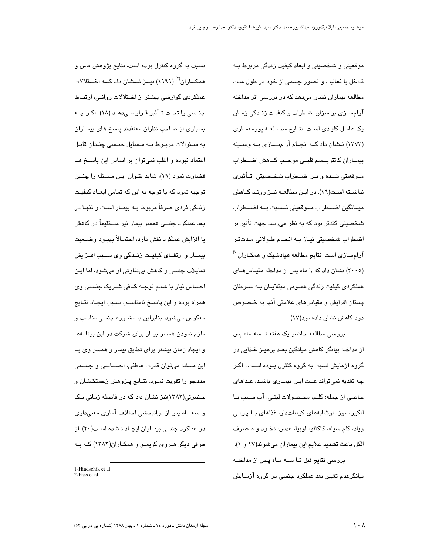موقعیتی و شخصیتی و ابعاد کیفیت زندگی مربوط بـه تداخل با فعالیت و تصور جسمی از خود در طول مدت مطالعه بیماران نشان می،دهد که در بررسی اثر مداخله آرامسازی بر میزان اضطراب و کیفیت زنـدگی زمـان یک عامل کلیدی است. نتـایج مطـا لعــه پورمعمـاری (۱۳۷۳) نــشان داد کــه انجــام آرامســازی بــه وســیله بيمـاران كاتتريـسم قلبـى موجـب كـاهش اضـطراب مـوقعيتي شـده و بـر اضـطراب شخـصيتي تـأثيري نداشته است(١٦). در این مطالعه نیز روند کاهش ميـانگين اضــطراب مـوقعيتي نـسبت بـه اضــطراب شخصیتی کندتر بود که به نظر میرسد جهت تأثیر بر اضطراب شخصيتي نياز به انجام طولاني مدتتر آرامسازی است. نتایج مطالعه هیادشیک و همکـاران<sup>(۱)</sup> (۲۰۰۵) نشان داد که ٦ ماه پس از مداخله مقیاس های عملکردی کیفیت زندگی عمـومی مبتلایـان بــه ســرطان پستان افزایش و مقیاسهای علامتی آنها به خـصوص درد کاهش نشان داده بود(۱۷).

بررسی مطالعه حاضر یک هفته تا سه ماه پس از مداخله بیانگر کاهش میانگین بعـد پرهیـز غـذایی در گروه آزمایش نسبت به گروه کنترل بـوده اسـت. اگـر چه تغذیه نمی تواند علت ایـن بیمـاری باشـد، غـذاهای خاصی از جمله؛ کلـم، محـصولات لبنـی، آب سـیب یـا انگور، موز، نوشابههای کربناتدار، غذاهای بـا چربـی زياد، كلم سياه، كاكائو، لوبيا، عدس، نخـود و مـصرف الكل باعث تشديد علايم اين بيماران مي شوند(١٧ و ١). بررسی نتایج قبل تـا ســه مـاه پـس از مداخلـه بیانگرعدم تغییر بعد عملکرد جنسی در گروه آزمـایش

نسبت به گروه کنترل بوده است. نتایج پژوهش فاس و همکـــاران<sup>(۲)</sup> (۱۹۹۹) نیـــز نـــشان داد کـــه اخـــتلالات عملکردی گوارشی بیشتر از اخـتلالات روانـی، ارتبـاط جنـسی را تحـت تــأثیر قـرار مـی‹هـد (١٨). اگـر چــه بسیاری از صاحب نظران معتقدند پاسخ های بیمـاران به سىئوالات مربىوط بـه مـسايل جنـسى چنـدان قابـل اعتماد نبوده و اغلب نمی توان بر اساس این پاسخ هـا قضاوت نمود (١٩)، شايد بتـوان ايـن مـسئله را چنـين توجیه نمود که با توجه به این که تمامی ابعـاد کیفیـت زندگی فردی صرفاً مربوط بـه بیمـار اسـت و تنهـا در بعد عملکرد جن*سی* همسر بیمار نیز مستقیماً در کاهش يا افزايش عملكرد نقش دارد، احتمــالاً بهبــود وضـــعيت بیمــار و ارتقــای کیفیــت زنــدگی وی ســبب افــزایش تمايلات جنسي و كاهش بي تفاوتي او مي شود، اما ايـن احساس نیاز با عـدم توجـه کـافی شـریک جنـسی وی همراه بوده و این پاســخ نامناسـب ســبب ایجـاد نتــایج معکوس میشود. بنابراین با مشاوره جنسی مناسب و ملزم نمودن همسر بیمار برای شرکت در این برنامهها و ایجاد زمان بیشتر برای تطابق بیمار و همسر وی بـا این مسئله میتوان قدرت عاطفی، احـساسی و جـسمی مددجو را تقویت نمـود. نتـایج پـژوهش زحمتکـشان و حضرتی(۱۳۸۲)نیز نشان داد که در فاصله زمانی پـک و سه ماه پس از توانبخشی اختلاف آماری معنیداری در عملکرد جنسی بیمـاران ایجـاد نـشده اسـت(۲۰). از طرفی دیگر هـروی کریمـو و همکـاران(۱۳۸۳) کـه بـه

<sup>1-</sup>Hiadschik et al 2-Fass et al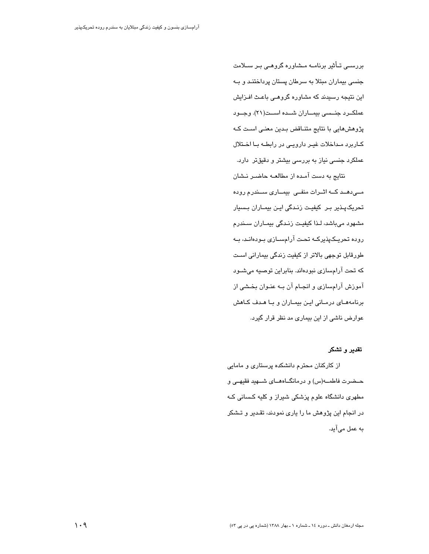بررسـی تــأثیر برنامــه مــشاوره گروهـی بـر ســلامت جنسی بیماران مبتلا به سرطان پستان پرداختنـد و بـه این نتیجه رسیدند که مشاوره گروهـی باعـث افـزایش عملكــرد جنــسى بيمـــاران شـــده اســت(٢١). وجــود پژوهشهایی با نتایج متنـاقض بـدین معنـی اسـت کـه كاربرد مداخلات غيـر دارويـى در رابطـه بـا اخـتلال عملکرد جنسی نیاز به بررسی بیشتر و دقیقتر دارد.

نتایج به دست آمـده از مطالعـه حاضـر نـشان مے دھـد كــه اثــرات منفــى بيمــارى ســندرم روده تحریکپـذیر بـر کیفیـت زنـدگی ایـن بیمـاران بـسیار مشهود میباشد، لـذا کیفیت زنـدگی بیمـاران سـندرم روده تحریـکپذیرکــه تحـت آرامســازی بــودهانـد، بــه طورقابل توجهی بالاتر از کیفیت زندگی بیمارانی است که تحت آرامسازی نبودهاند. بنابراین توصیه میشود آموزش آرامسازی و انجـام آن بـه عنـوان بخـشی از برنامههای درمانی این بیماران و با هدف کاهش عوارض ناشی از این بیماری مد نظر قرار گیرد.

### تقدير و تشكر

از کارکنان محترم دانشکده پرستاری و مامایی حـضرت فاطمــه(س) و درمانگــاههــای شــهید فقیهـی و مطهری دانشگاه علوم پزشکی شیراز و کلیه کسانی کـه در انجام این پژوهش ما را پاری نمودند، تقدیر و تـشکر به عمل می آید.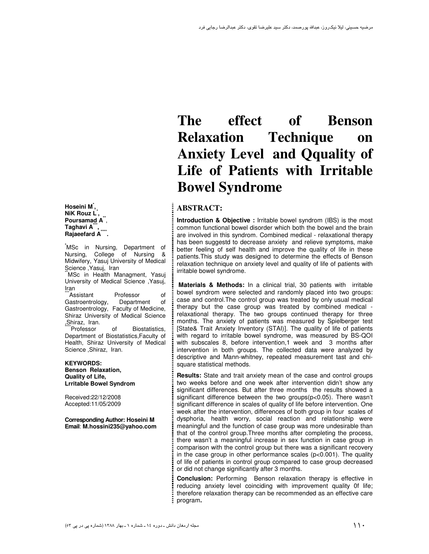**Hoseini M\* , NiK Rouz L\* ,**  Poursamad A<sup>\*\*</sup>, **Taghavi A\*\*\* , Rajaeefard A<sup>\*\*\*</sup> .**

**\***MSc in Nursing, Department of Nursing, College of Nursing & Midwifery, Yasuj University of Medical Science ,Yasuj, Iran

MSc in Health Managment, Yasuj University of Medical Science ,Yasuj, Iran

\*Assistant Professor of Gastroentrology, Department of Gastroentrology, Faculty of Medicine, Shiraz University of Medical Science Shiraz, Iran.<br>Professor

of Biostatistics. Department of Biostatistics,Faculty of Health, Shiraz University of Medical Science ,Shiraz, Iran.

#### **KEYWORDS: Benson Relaxation, Quality of Life, Lrritable Bowel Syndrom**

Received:22/12/2008 Accepted:11/05/2009

**Corresponding Author: Hoseini M Email**: **M.hossini235@yahoo.com** 

# **The effect of Benson Relaxation Technique on Anxiety Level and Qquality of Life of Patients with Irritable Bowel Syndrome**

# **ABSTRACT:**

**Introduction & Objective :** Irritable bowel syndrom (IBS) is the most common functional bowel disorder which both the bowel and the brain are involved in this syndrom. Combined medical - relaxational therapy has been suggestd to decrease anxiety and relieve symptoms, make better feeling of self health and improve the quality of life in these patients.This study was designed to determine the effects of Benson relaxation technique on anxiety level and quality of life of patients with irritable bowel syndrome.

 **Materials & Methods:** In a clinical trial, 30 patients withirritable bowel syndrom were selected and randomly placed into two groups: case and control.The control group was treated by only usual medical therapy but the case group was treated by combined medical relaxational therapy. The two groups continued therapy for three months. The anxiety of patients was measured by Spielberger test [State& Trait Anxiety Inventory (STAI)]. The quality of life of patients with regard to irritable bowel syndrome, was measured by BS-QOI with subscales 8, before intervention,1 week and 3 months after intervention in both groups. The collected data were analyzed by descriptive and Mann-whitney, repeated measurement tast and chisquare statistical methods.

**Results:** State and trait anxiety mean of the case and control groups two weeks before and one week after intervention didn't show any significant differences. But after three months the results showed a significant difference between the two groups(p<0.05). There wasn't significant difference in scales of quality of life before intervention. One week after the intervention, differences of both group in four scales of dysphoria, health worry, social reaction and relationship were meaningful and the function of case group was more undesirable than that of the control group.Three months after completing the process, there wasn't a meaningful increase in sex function in case group in comparison with the control group but there was a significant recovery in the case group in other performance scales (p<0.001). The quality of life of patients in control group compared to case group decreased or did not change significantly after 3 months.

**Conclusion:** Performing Benson relaxation therapy is effective in reducing anxiety level coinciding with improvement quality 0f life; therefore relaxation therapy can be recommended as an effective care program**.**